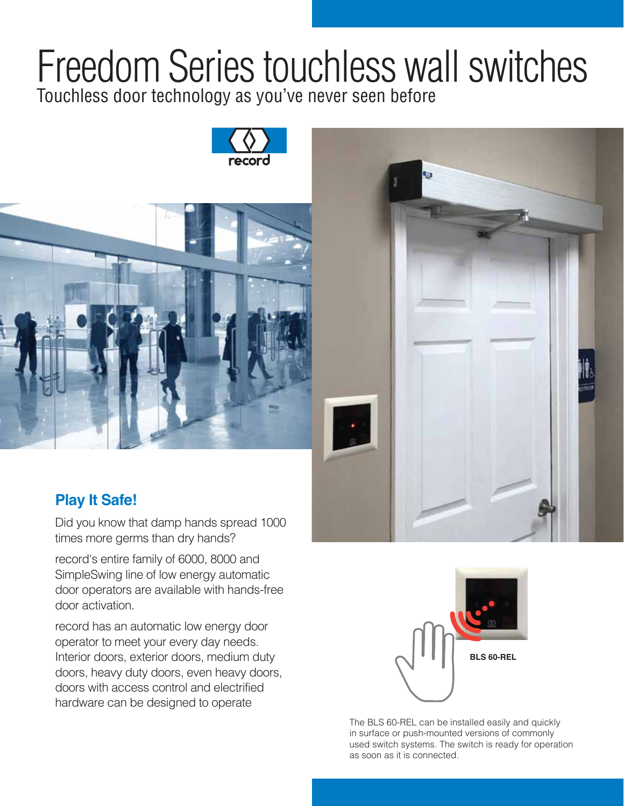## Freedom Series touchless wall switches Touchless door technology as you've never seen before







## **Play It Safe!**

Did you know that damp hands spread 1000 times more germs than dry hands?

record's entire family of 6000, 8000 and SimpleSwing line of low energy automatic door operators are available with hands-free door activation.

record has an automatic low energy door operator to meet your every day needs. Interior doors, exterior doors, medium duty doors, heavy duty doors, even heavy doors, doors with access control and electrified hardware can be designed to operate



The BLS 60-REL can be installed easily and quickly in surface or push-mounted versions of commonly used switch systems. The switch is ready for operation as soon as it is connected.